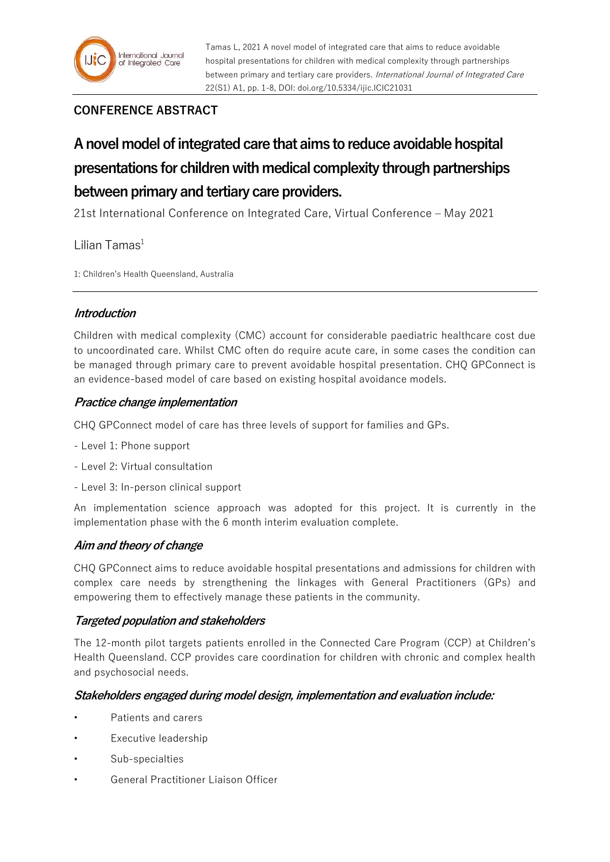## **CONFERENCE ABSTRACT**

# **A novel model of integrated care that aims to reduce avoidable hospital presentations for children with medical complexity through partnerships between primary and tertiary care providers.**

21st International Conference on Integrated Care, Virtual Conference – May 2021

Lilian Tamas $<sup>1</sup>$ </sup>

1: Children's Health Queensland, Australia

## **Introduction**

Children with medical complexity (CMC) account for considerable paediatric healthcare cost due to uncoordinated care. Whilst CMC often do require acute care, in some cases the condition can be managed through primary care to prevent avoidable hospital presentation. CHQ GPConnect is an evidence-based model of care based on existing hospital avoidance models.

## **Practice change implementation**

CHQ GPConnect model of care has three levels of support for families and GPs.

- Level 1: Phone support
- Level 2: Virtual consultation
- Level 3: In-person clinical support

An implementation science approach was adopted for this project. It is currently in the implementation phase with the 6 month interim evaluation complete.

## **Aim and theory of change**

CHQ GPConnect aims to reduce avoidable hospital presentations and admissions for children with complex care needs by strengthening the linkages with General Practitioners (GPs) and empowering them to effectively manage these patients in the community.

## **Targeted population and stakeholders**

The 12-month pilot targets patients enrolled in the Connected Care Program (CCP) at Children's Health Queensland. CCP provides care coordination for children with chronic and complex health and psychosocial needs.

## **Stakeholders engaged during model design, implementation and evaluation include:**

- Patients and carers
- Executive leadership
- Sub-specialties
- General Practitioner Liaison Officer